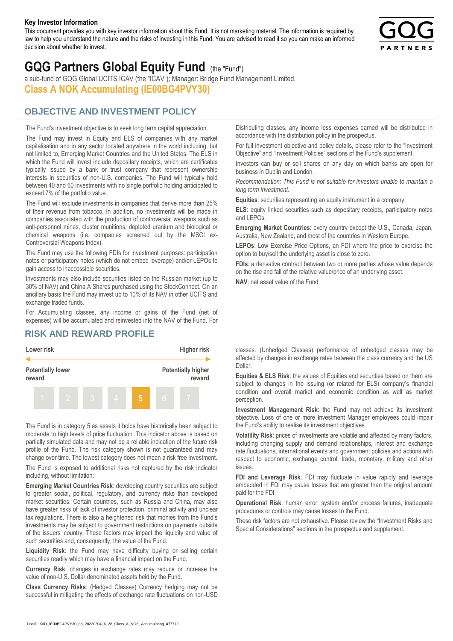#### **Key Investor Information**

This document provides you with key investor information about this Fund. It is not marketing material. The information is required by law to help you understand the nature and the risks of investing in this Fund. You are advised to read it so you can make an informed decision about whether to invest.



# **GQG Partners Global Equity Fund** (the "Fund")

a sub-fund of GQG Global UCITS ICAV (the "ICAV"); Manager: Bridge Fund Management Limited. **Class A NOK Accumulating (IE00BG4PVY30)**

### **OBJECTIVE AND INVESTMENT POLICY**

The Fund's investment objective is to seek long term capital appreciation. The Fund may invest in Equity and ELS of companies with any market capitalisation and in any sector located anywhere in the world including, but not limited to, Emerging Market Countries and the United States. The ELS in which the Fund will invest include depositary receipts, which are certificates typically issued by a bank or trust company that represent ownership interests in securities of non-U.S. companies. The Fund will typically hold between 40 and 60 investments with no single portfolio holding anticipated to exceed 7% of the portfolio value.

The Fund will exclude investments in companies that derive more than 25% of their revenue from tobacco. In addition, no investments will be made in companies associated with the production of controversial weapons such as anti-personnel mines, cluster munitions, depleted uranium and biological or chemical weapons (i.e. companies screened out by the MSCI ex-Controversial Weapons Index).

The Fund may use the following FDIs for investment purposes: participation notes or participatory notes (which do not embed leverage) and/or LEPOs to gain access to inaccessible securities.

Investments may also include securities listed on the Russian market (up to 30% of NAV) and China A Shares purchased using the StockConnect. On an ancillary basis the Fund may invest up to 10% of its NAV in other UCITS and exchange traded funds.

For Accumulating classes, any income or gains of the Fund (net of expenses) will be accumulated and reinvested into the NAV of the Fund. For Distributing classes, any income less expenses earned will be distributed in accordance with the distribution policy in the prospectus.

For full investment objective and policy details, please refer to the "Investment Objective" and "Investment Policies" sections of the Fund's supplement.

Investors can buy or sell shares on any day on which banks are open for business in Dublin and London.

*Recommendation: This Fund is not suitable for investors unable to maintain a long term investment.*

**Equities**: securities representing an equity instrument in a company.

**ELS**: equity linked securities such as depositary receipts, participatory notes and LEPOs.

**Emerging Market Countries**: every country except the U.S., Canada, Japan, Australia, New Zealand, and most of the countries in Western Europe.

**LEPOs**: Low Exercise Price Options, an FDI where the price to exercise the option to buy/sell the underlying asset is close to zero.

**FDIs**: a derivative contract between two or more parties whose value depends on the rise and fall of the relative value/price of an underlying asset.

**NAV**: net asset value of the Fund.

#### **RISK AND REWARD PROFILE**



The Fund is in category 5 as assets it holds have historically been subject to moderate to high levels of price fluctuation. This indicator above is based on partially simulated data and may not be a reliable indication of the future risk profile of the Fund. The risk category shown is not guaranteed and may change over time. The lowest category does not mean a risk free investment.

The Fund is exposed to additional risks not captured by the risk indicator including, without limitation:

**Emerging Market Countries Risk**: developing country securities are subject to greater social, political, regulatory, and currency risks than developed market securities. Certain countries, such as Russia and China, may also have greater risks of lack of investor protection, criminal activity and unclear tax regulations. There is also a heightened risk that monies from the Fund's investments may be subject to government restrictions on payments outside of the issuers' country. These factors may impact the liquidity and value of such securities and, consequently, the value of the Fund.

**Liquidity Risk**: the Fund may have difficulty buying or selling certain securities readily which may have a financial impact on the Fund.

**Currency Risk**: changes in exchange rates may reduce or increase the value of non-U.S. Dollar denominated assets held by the Fund.

**Class Currency Risks**: (Hedged Classes) Currency hedging may not be successful in mitigating the effects of exchange rate fluctuations on non-USD classes. (Unhedged Classes) performance of unhedged classes may be affected by changes in exchange rates between the class currency and the US Dollar.

**Equities & ELS Risk**: the values of Equities and securities based on them are subject to changes in the issuing (or related for ELS) company's financial condition and overall market and economic condition as well as market perception.

**Investment Management Risk**: the Fund may not achieve its investment objective. Loss of one or more Investment Manager employees could impair the Fund's ability to realise its investment objectives.

**Volatility Risk**: prices of investments are volatile and affected by many factors, including changing supply and demand relationships, interest and exchange rate fluctuations, international events and government policies and actions with respect to economic, exchange control, trade, monetary, military and other issues.

**FDI and Leverage Risk**: FDI may fluctuate in value rapidly and leverage embedded in FDI may cause losses that are greater than the original amount paid for the FDI.

**Operational Risk**: human error, system and/or process failures, inadequate procedures or controls may cause losses to the Fund.

These risk factors are not exhaustive. Please review the "Investment Risks and Special Considerations" sections in the prospectus and supplement.